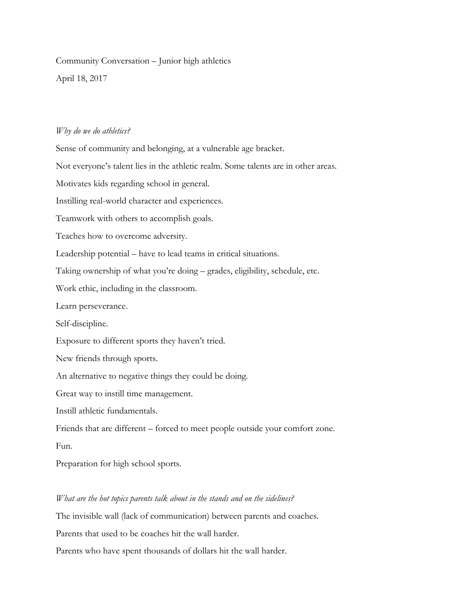## Community Conversation – Junior high athletics

April 18, 2017

## *Why do we do athletics?*

Sense of community and belonging, at a vulnerable age bracket. Not everyone's talent lies in the athletic realm. Some talents are in other areas. Motivates kids regarding school in general. Instilling real-world character and experiences. Teamwork with others to accomplish goals. Teaches how to overcome adversity. Leadership potential – have to lead teams in critical situations. Taking ownership of what you're doing – grades, eligibility, schedule, etc. Work ethic, including in the classroom. Learn perseverance. Self-discipline. Exposure to different sports they haven't tried. New friends through sports. An alternative to negative things they could be doing. Great way to instill time management. Instill athletic fundamentals. Friends that are different – forced to meet people outside your comfort zone. Fun. Preparation for high school sports.

## *What are the hot topics parents talk about in the stands and on the sidelines?*

The invisible wall (lack of communication) between parents and coaches. Parents that used to be coaches hit the wall harder. Parents who have spent thousands of dollars hit the wall harder.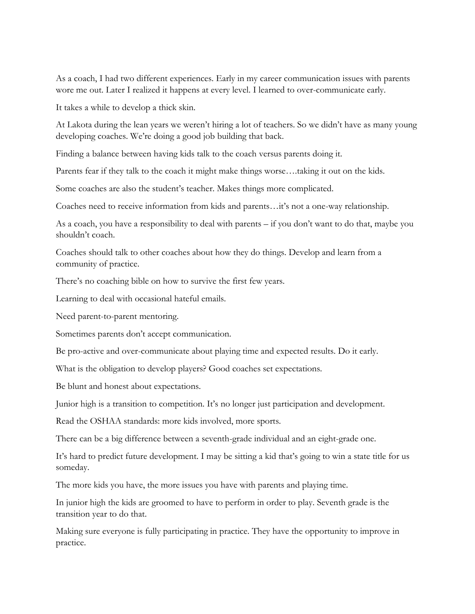As a coach, I had two different experiences. Early in my career communication issues with parents wore me out. Later I realized it happens at every level. I learned to over-communicate early.

It takes a while to develop a thick skin.

At Lakota during the lean years we weren't hiring a lot of teachers. So we didn't have as many young developing coaches. We're doing a good job building that back.

Finding a balance between having kids talk to the coach versus parents doing it.

Parents fear if they talk to the coach it might make things worse….taking it out on the kids.

Some coaches are also the student's teacher. Makes things more complicated.

Coaches need to receive information from kids and parents…it's not a one-way relationship.

As a coach, you have a responsibility to deal with parents – if you don't want to do that, maybe you shouldn't coach.

Coaches should talk to other coaches about how they do things. Develop and learn from a community of practice.

There's no coaching bible on how to survive the first few years.

Learning to deal with occasional hateful emails.

Need parent-to-parent mentoring.

Sometimes parents don't accept communication.

Be pro-active and over-communicate about playing time and expected results. Do it early.

What is the obligation to develop players? Good coaches set expectations.

Be blunt and honest about expectations.

Junior high is a transition to competition. It's no longer just participation and development.

Read the OSHAA standards: more kids involved, more sports.

There can be a big difference between a seventh-grade individual and an eight-grade one.

It's hard to predict future development. I may be sitting a kid that's going to win a state title for us someday.

The more kids you have, the more issues you have with parents and playing time.

In junior high the kids are groomed to have to perform in order to play. Seventh grade is the transition year to do that.

Making sure everyone is fully participating in practice. They have the opportunity to improve in practice.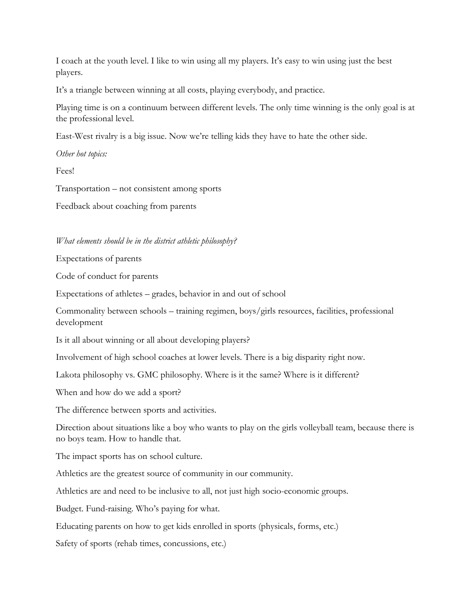I coach at the youth level. I like to win using all my players. It's easy to win using just the best players.

It's a triangle between winning at all costs, playing everybody, and practice.

Playing time is on a continuum between different levels. The only time winning is the only goal is at the professional level.

East-West rivalry is a big issue. Now we're telling kids they have to hate the other side.

*Other hot topics:*

Fees!

Transportation – not consistent among sports

Feedback about coaching from parents

*What elements should be in the district athletic philosophy?*

Expectations of parents

Code of conduct for parents

Expectations of athletes – grades, behavior in and out of school

Commonality between schools – training regimen, boys/girls resources, facilities, professional development

Is it all about winning or all about developing players?

Involvement of high school coaches at lower levels. There is a big disparity right now.

Lakota philosophy vs. GMC philosophy. Where is it the same? Where is it different?

When and how do we add a sport?

The difference between sports and activities.

Direction about situations like a boy who wants to play on the girls volleyball team, because there is no boys team. How to handle that.

The impact sports has on school culture.

Athletics are the greatest source of community in our community.

Athletics are and need to be inclusive to all, not just high socio-economic groups.

Budget. Fund-raising. Who's paying for what.

Educating parents on how to get kids enrolled in sports (physicals, forms, etc.)

Safety of sports (rehab times, concussions, etc.)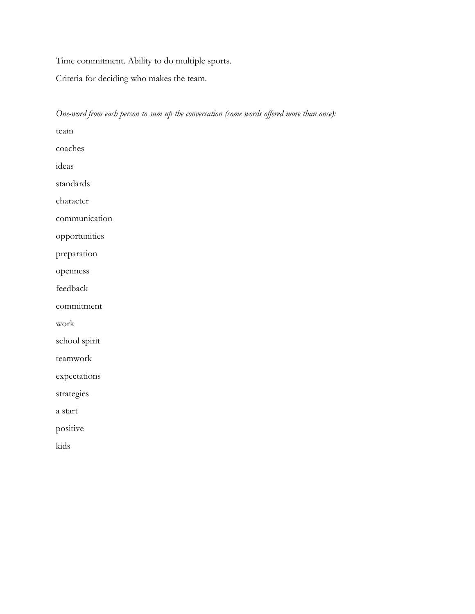Time commitment. Ability to do multiple sports.

Criteria for deciding who makes the team.

| One-word from each person to sum up the conversation (some words offered more than once): |
|-------------------------------------------------------------------------------------------|
| team                                                                                      |
| coaches                                                                                   |
| ideas                                                                                     |
| standards                                                                                 |
| character                                                                                 |
| communication                                                                             |
| opportunities                                                                             |
| preparation                                                                               |
| openness                                                                                  |
| feedback                                                                                  |
| commitment                                                                                |
| work                                                                                      |
| school spirit                                                                             |
| teamwork                                                                                  |
| expectations                                                                              |
| strategies                                                                                |
| a start                                                                                   |
| positive                                                                                  |
| kids                                                                                      |
|                                                                                           |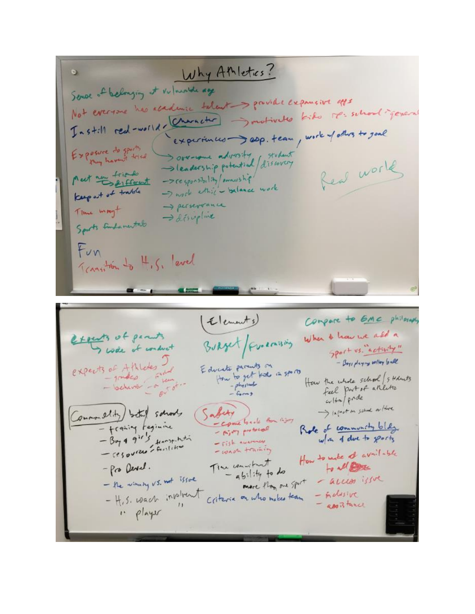Why AMletics?  $\bullet$ Sende of belonging at vulnurble age Not everyone has academic talent > private expansive apps Instill red-wolld, Character Involvedes kiks re-school-general experiences ap. team, work of others to goal Exposure do sports Sove-come advosity follow few world Meet un triando -> responsibility/ownership -I work ethic - balance work keep out of trable -> perseveance Time mayt -> discipline Sports Emparental Fun Transition to 4,5, level Compare to GMC philosoph (Elements) When I have we all a touts of peruts Burget/Fundaming I walk of conduct good us. activity" expects of Athledes J - Boys playing willey ball Educate parents on<br>How to get tride in sports How the whole school 5 Holms  $=$  physical feel part of arilities - behavior  $c_{\nu}$  (fra) pride > infact on school or Hore Common slity both schools Safety - Come loads from River - francing teginine Role of community bldg. - Airy protocol - Boy 4 91's from the w/in 4 due to gently - risk nummer - want training How to make a available The convertment - Pro Devel. to all the  $-$  ability to do - the winning vs. not issue - access issue more than one sport - H.S. wach inplient - inclusive Criteria on who makes team - apoBtance " player